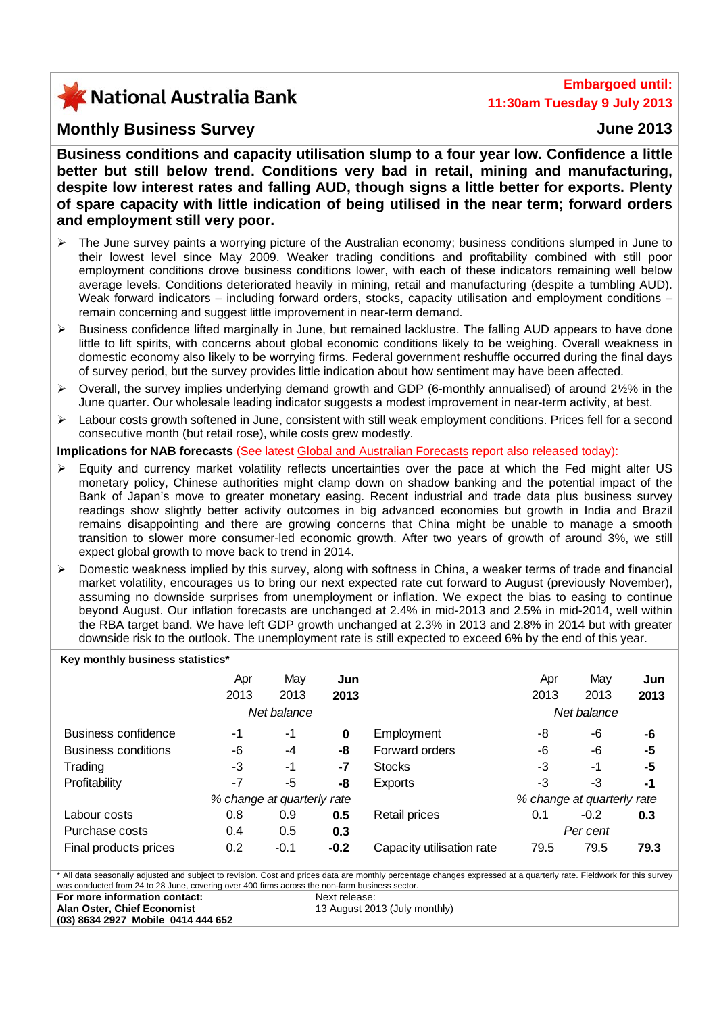# X National Australia Bank

## **Embargoed until: 11:30am Tuesday 9 July 2013**

### **Monthly Business Survey June 2013**

**Business conditions and capacity utilisation slump to a four year low. Confidence a little better but still below trend. Conditions very bad in retail, mining and manufacturing, despite low interest rates and falling AUD, though signs a little better for exports. Plenty of spare capacity with little indication of being utilised in the near term; forward orders and employment still very poor.** 

- ¾ The June survey paints a worrying picture of the Australian economy; business conditions slumped in June to their lowest level since May 2009. Weaker trading conditions and profitability combined with still poor employment conditions drove business conditions lower, with each of these indicators remaining well below average levels. Conditions deteriorated heavily in mining, retail and manufacturing (despite a tumbling AUD). Weak forward indicators – including forward orders, stocks, capacity utilisation and employment conditions – remain concerning and suggest little improvement in near-term demand.
- ¾ Business confidence lifted marginally in June, but remained lacklustre. The falling AUD appears to have done little to lift spirits, with concerns about global economic conditions likely to be weighing. Overall weakness in domestic economy also likely to be worrying firms. Federal government reshuffle occurred during the final days of survey period, but the survey provides little indication about how sentiment may have been affected.
- ¾ Overall, the survey implies underlying demand growth and GDP (6-monthly annualised) of around 2½% in the June quarter. Our wholesale leading indicator suggests a modest improvement in near-term activity, at best.
- ¾ Labour costs growth softened in June, consistent with still weak employment conditions. Prices fell for a second consecutive month (but retail rose), while costs grew modestly.

#### **Implications for NAB forecasts** (See latest [Global and Australian Forecasts](http://business.nab.com.au/category/economic-commentary/) report also released today):

- $\triangleright$  Equity and currency market volatility reflects uncertainties over the pace at which the Fed might alter US monetary policy, Chinese authorities might clamp down on shadow banking and the potential impact of the Bank of Japan's move to greater monetary easing. Recent industrial and trade data plus business survey readings show slightly better activity outcomes in big advanced economies but growth in India and Brazil remains disappointing and there are growing concerns that China might be unable to manage a smooth transition to slower more consumer-led economic growth. After two years of growth of around 3%, we still expect global growth to move back to trend in 2014.
- ¾ Domestic weakness implied by this survey, along with softness in China, a weaker terms of trade and financial market volatility, encourages us to bring our next expected rate cut forward to August (previously November), assuming no downside surprises from unemployment or inflation. We expect the bias to easing to continue beyond August. Our inflation forecasts are unchanged at 2.4% in mid-2013 and 2.5% in mid-2014, well within the RBA target band. We have left GDP growth unchanged at 2.3% in 2013 and 2.8% in 2014 but with greater downside risk to the outlook. The unemployment rate is still expected to exceed 6% by the end of this year.

| Key monthly business statistics* |  |  |
|----------------------------------|--|--|
|----------------------------------|--|--|

|                       | Apr<br>2013                | May<br>2013 | Jun<br>2013 |                            | Apr<br>2013 | Mav<br>2013 | Jun<br>2013 |
|-----------------------|----------------------------|-------------|-------------|----------------------------|-------------|-------------|-------------|
|                       | Net balance                |             |             |                            | Net balance |             |             |
| Business confidence   | -1                         | -1          | 0           | Employment                 | -8          | -6          | -6          |
| Business conditions   | -6                         | $-4$        | -8          | Forward orders             | -6          | -6          | -5          |
| Trading               | -3                         | -1          | $-7$        | <b>Stocks</b>              | -3          | -1          | -5          |
| Profitability         | $-7$                       | -5          | -8          | <b>Exports</b>             | $-3$        | -3          | $-1$        |
|                       | % change at quarterly rate |             |             | % change at quarterly rate |             |             |             |
| Labour costs          | 0.8                        | 0.9         | 0.5         | <b>Retail prices</b>       | 0.1         | $-0.2$      | 0.3         |
| Purchase costs        | 0.4                        | 0.5         | 0.3         |                            |             | Per cent    |             |
| Final products prices | 0.2                        | $-0.1$      | $-0.2$      | Capacity utilisation rate  | 79.5        | 79.5        | 79.3        |

\* All data seasonally adjusted and subject to revision. Cost and prices data are monthly percentage changes expressed at a quarterly rate. Fieldwork for this survey was conducted from 24 to 28 June, covering over 400 firms across the non-farm business sector. **For more information contact: Alan Oster, Chief Economist**  Next release: 13 August 2013 (July monthly)

**(03) 8634 2927 Mobile 0414 444 652**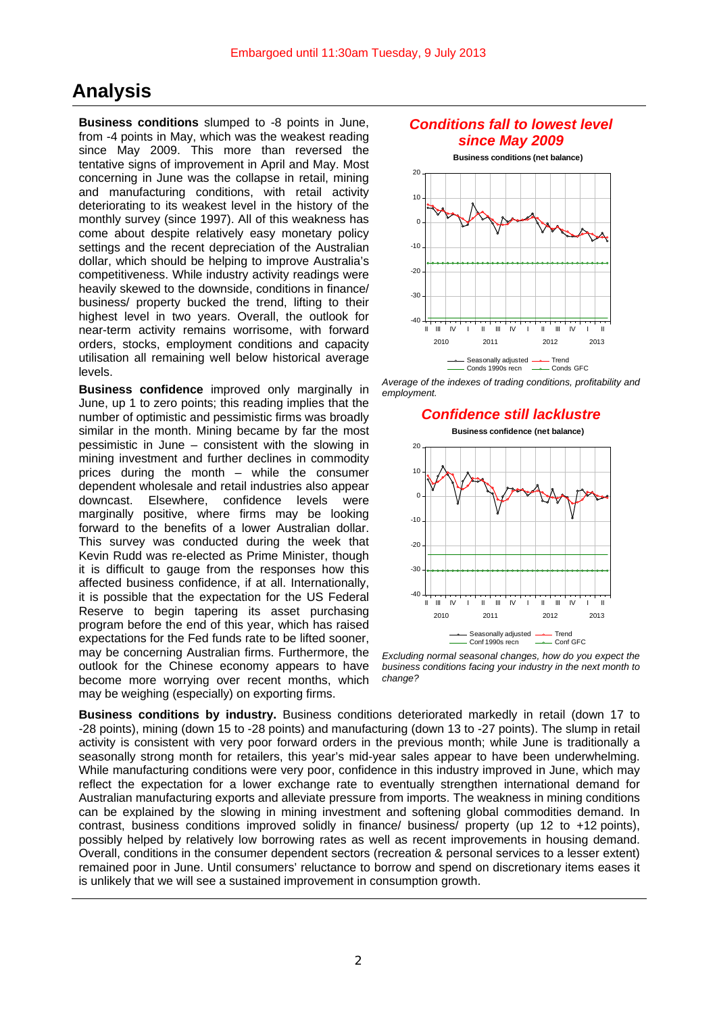## **Analysis**

**Business conditions** slumped to -8 points in June, from -4 points in May, which was the weakest reading since May 2009. This more than reversed the tentative signs of improvement in April and May. Most concerning in June was the collapse in retail, mining and manufacturing conditions, with retail activity deteriorating to its weakest level in the history of the monthly survey (since 1997). All of this weakness has come about despite relatively easy monetary policy settings and the recent depreciation of the Australian dollar, which should be helping to improve Australia's competitiveness. While industry activity readings were heavily skewed to the downside, conditions in finance/ business/ property bucked the trend, lifting to their highest level in two years. Overall, the outlook for near-term activity remains worrisome, with forward orders, stocks, employment conditions and capacity utilisation all remaining well below historical average levels.

**Business confidence** improved only marginally in June, up 1 to zero points; this reading implies that the number of optimistic and pessimistic firms was broadly similar in the month. Mining became by far the most pessimistic in June – consistent with the slowing in mining investment and further declines in commodity prices during the month – while the consumer dependent wholesale and retail industries also appear downcast. Elsewhere, confidence levels were marginally positive, where firms may be looking forward to the benefits of a lower Australian dollar. This survey was conducted during the week that Kevin Rudd was re-elected as Prime Minister, though it is difficult to gauge from the responses how this affected business confidence, if at all. Internationally, it is possible that the expectation for the US Federal Reserve to begin tapering its asset purchasing program before the end of this year, which has raised expectations for the Fed funds rate to be lifted sooner, may be concerning Australian firms. Furthermore, the outlook for the Chinese economy appears to have become more worrying over recent months, which may be weighing (especially) on exporting firms.

### *Conditions fall to lowest level since May 2009*



*Average of the indexes of trading conditions, profitability and employment.*

#### *Confidence still lacklustre*

**Business confidence (net balance)**



*Excluding normal seasonal changes, how do you expect the business conditions facing your industry in the next month to change?*

**Business conditions by industry.** Business conditions deteriorated markedly in retail (down 17 to -28 points), mining (down 15 to -28 points) and manufacturing (down 13 to -27 points). The slump in retail activity is consistent with very poor forward orders in the previous month; while June is traditionally a seasonally strong month for retailers, this year's mid-year sales appear to have been underwhelming. While manufacturing conditions were very poor, confidence in this industry improved in June, which may reflect the expectation for a lower exchange rate to eventually strengthen international demand for Australian manufacturing exports and alleviate pressure from imports. The weakness in mining conditions can be explained by the slowing in mining investment and softening global commodities demand. In contrast, business conditions improved solidly in finance/ business/ property (up 12 to +12 points), possibly helped by relatively low borrowing rates as well as recent improvements in housing demand. Overall, conditions in the consumer dependent sectors (recreation & personal services to a lesser extent) remained poor in June. Until consumers' reluctance to borrow and spend on discretionary items eases it is unlikely that we will see a sustained improvement in consumption growth.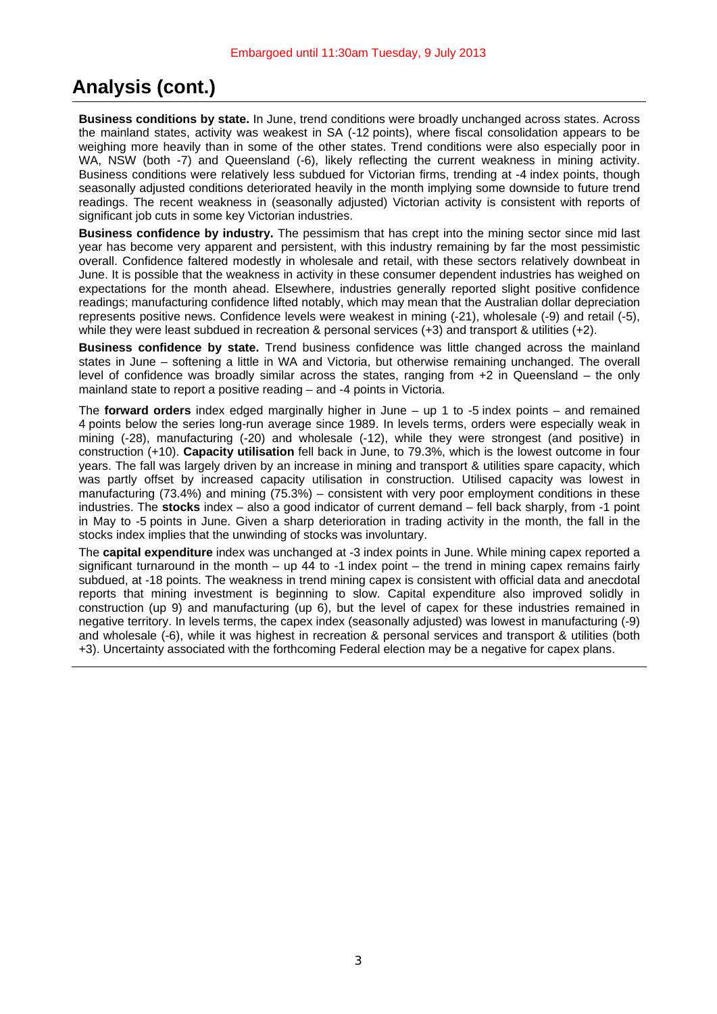# **Analysis (cont.)**

**Business conditions by state.** In June, trend conditions were broadly unchanged across states. Across the mainland states, activity was weakest in SA (-12 points), where fiscal consolidation appears to be weighing more heavily than in some of the other states. Trend conditions were also especially poor in WA, NSW (both -7) and Queensland (-6), likely reflecting the current weakness in mining activity. Business conditions were relatively less subdued for Victorian firms, trending at -4 index points, though seasonally adjusted conditions deteriorated heavily in the month implying some downside to future trend readings. The recent weakness in (seasonally adjusted) Victorian activity is consistent with reports of significant job cuts in some key Victorian industries.

**Business confidence by industry.** The pessimism that has crept into the mining sector since mid last year has become very apparent and persistent, with this industry remaining by far the most pessimistic overall. Confidence faltered modestly in wholesale and retail, with these sectors relatively downbeat in June. It is possible that the weakness in activity in these consumer dependent industries has weighed on expectations for the month ahead. Elsewhere, industries generally reported slight positive confidence readings; manufacturing confidence lifted notably, which may mean that the Australian dollar depreciation represents positive news. Confidence levels were weakest in mining (-21), wholesale (-9) and retail (-5), while they were least subdued in recreation & personal services (+3) and transport & utilities (+2).

**Business confidence by state.** Trend business confidence was little changed across the mainland states in June – softening a little in WA and Victoria, but otherwise remaining unchanged. The overall level of confidence was broadly similar across the states, ranging from +2 in Queensland – the only mainland state to report a positive reading – and -4 points in Victoria.

The **forward orders** index edged marginally higher in June – up 1 to -5 index points – and remained 4 points below the series long-run average since 1989. In levels terms, orders were especially weak in mining (-28), manufacturing (-20) and wholesale (-12), while they were strongest (and positive) in construction (+10). **Capacity utilisation** fell back in June, to 79.3%, which is the lowest outcome in four years. The fall was largely driven by an increase in mining and transport & utilities spare capacity, which was partly offset by increased capacity utilisation in construction. Utilised capacity was lowest in manufacturing (73.4%) and mining (75.3%) – consistent with very poor employment conditions in these industries. The **stocks** index – also a good indicator of current demand – fell back sharply, from -1 point in May to -5 points in June. Given a sharp deterioration in trading activity in the month, the fall in the stocks index implies that the unwinding of stocks was involuntary.

The **capital expenditure** index was unchanged at -3 index points in June. While mining capex reported a significant turnaround in the month – up 44 to  $-1$  index point – the trend in mining capex remains fairly subdued, at -18 points. The weakness in trend mining capex is consistent with official data and anecdotal reports that mining investment is beginning to slow. Capital expenditure also improved solidly in construction (up 9) and manufacturing (up 6), but the level of capex for these industries remained in negative territory. In levels terms, the capex index (seasonally adjusted) was lowest in manufacturing (-9) and wholesale (-6), while it was highest in recreation & personal services and transport & utilities (both +3). Uncertainty associated with the forthcoming Federal election may be a negative for capex plans.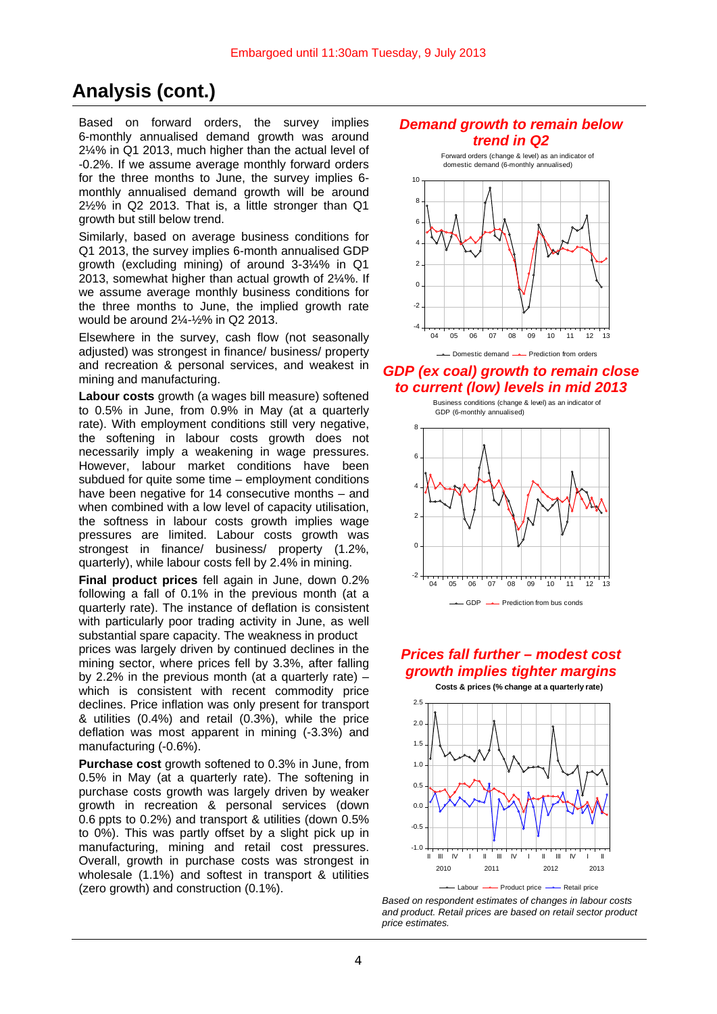# **Analysis (cont.)**

Based on forward orders, the survey implies 6-monthly annualised demand growth was around 2¼% in Q1 2013, much higher than the actual level of -0.2%. If we assume average monthly forward orders for the three months to June, the survey implies 6 monthly annualised demand growth will be around 2½% in Q2 2013. That is, a little stronger than Q1 growth but still below trend.

Similarly, based on average business conditions for Q1 2013, the survey implies 6-month annualised GDP growth (excluding mining) of around 3-3¼% in Q1 2013, somewhat higher than actual growth of 2¼%. If we assume average monthly business conditions for the three months to June, the implied growth rate would be around 2¼-½% in Q2 2013.

Elsewhere in the survey, cash flow (not seasonally adjusted) was strongest in finance/ business/ property and recreation & personal services, and weakest in mining and manufacturing.

**Labour costs** growth (a wages bill measure) softened to 0.5% in June, from 0.9% in May (at a quarterly rate). With employment conditions still very negative, the softening in labour costs growth does not necessarily imply a weakening in wage pressures. However, labour market conditions have been subdued for quite some time – employment conditions have been negative for 14 consecutive months – and when combined with a low level of capacity utilisation, the softness in labour costs growth implies wage pressures are limited. Labour costs growth was strongest in finance/ business/ property (1.2%, quarterly), while labour costs fell by 2.4% in mining.

**Final product prices** fell again in June, down 0.2% following a fall of 0.1% in the previous month (at a quarterly rate). The instance of deflation is consistent with particularly poor trading activity in June, as well substantial spare capacity. The weakness in product

prices was largely driven by continued declines in the mining sector, where prices fell by 3.3%, after falling by 2.2% in the previous month (at a quarterly rate)  $$ which is consistent with recent commodity price declines. Price inflation was only present for transport & utilities (0.4%) and retail (0.3%), while the price deflation was most apparent in mining (-3.3%) and manufacturing (-0.6%).

**Purchase cost** growth softened to 0.3% in June, from 0.5% in May (at a quarterly rate). The softening in purchase costs growth was largely driven by weaker growth in recreation & personal services (down 0.6 ppts to 0.2%) and transport & utilities (down 0.5% to 0%). This was partly offset by a slight pick up in manufacturing, mining and retail cost pressures. Overall, growth in purchase costs was strongest in wholesale (1.1%) and softest in transport & utilities (zero growth) and construction (0.1%).





-- Domestic demand -- Prediction from orders

### *GDP (ex coal) growth to remain close to current (low) levels in mid 2013*



## *Prices fall further – modest cost growth implies tighter margins*





*Based on respondent estimates of changes in labour costs and product. Retail prices are based on retail sector product price estimates.*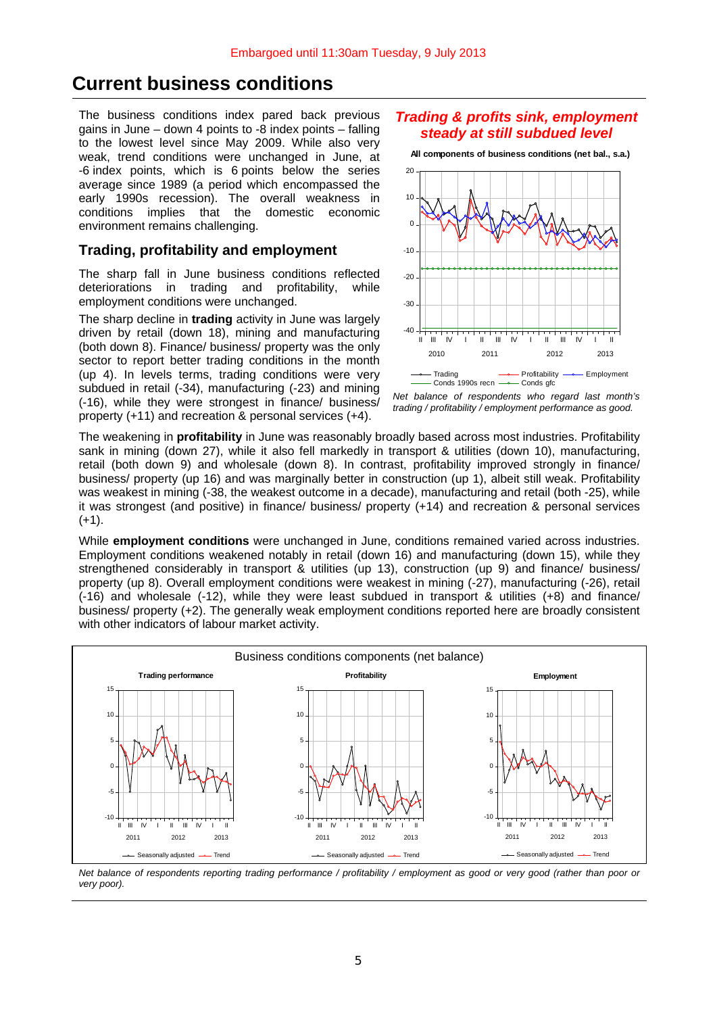## **Current business conditions**

The business conditions index pared back previous gains in June – down 4 points to -8 index points – falling to the lowest level since May 2009. While also very weak, trend conditions were unchanged in June, at -6 index points, which is 6 points below the series average since 1989 (a period which encompassed the early 1990s recession). The overall weakness in conditions implies that the domestic economic environment remains challenging.

### **Trading, profitability and employment**

The sharp fall in June business conditions reflected deteriorations in trading and profitability, while employment conditions were unchanged.

The sharp decline in **trading** activity in June was largely driven by retail (down 18), mining and manufacturing (both down 8). Finance/ business/ property was the only sector to report better trading conditions in the month (up 4). In levels terms, trading conditions were very subdued in retail (-34), manufacturing (-23) and mining (-16), while they were strongest in finance/ business/ property (+11) and recreation & personal services (+4).

### *Trading & profits sink, employment steady at still subdued level*

**All components of business conditions (net bal., s.a.)**



*Net balance of respondents who regard last month's trading / profitability / employment performance as good.* 

The weakening in **profitability** in June was reasonably broadly based across most industries. Profitability sank in mining (down 27), while it also fell markedly in transport & utilities (down 10), manufacturing, retail (both down 9) and wholesale (down 8). In contrast, profitability improved strongly in finance/ business/ property (up 16) and was marginally better in construction (up 1), albeit still weak. Profitability was weakest in mining (-38, the weakest outcome in a decade), manufacturing and retail (both -25), while it was strongest (and positive) in finance/ business/ property (+14) and recreation & personal services  $(+1).$ 

While **employment conditions** were unchanged in June, conditions remained varied across industries. Employment conditions weakened notably in retail (down 16) and manufacturing (down 15), while they strengthened considerably in transport & utilities (up 13), construction (up 9) and finance/ business/ property (up 8). Overall employment conditions were weakest in mining (-27), manufacturing (-26), retail (-16) and wholesale (-12), while they were least subdued in transport & utilities (+8) and finance/ business/ property (+2). The generally weak employment conditions reported here are broadly consistent with other indicators of labour market activity.



*Net balance of respondents reporting trading performance / profitability / employment as good or very good (rather than poor or very poor).*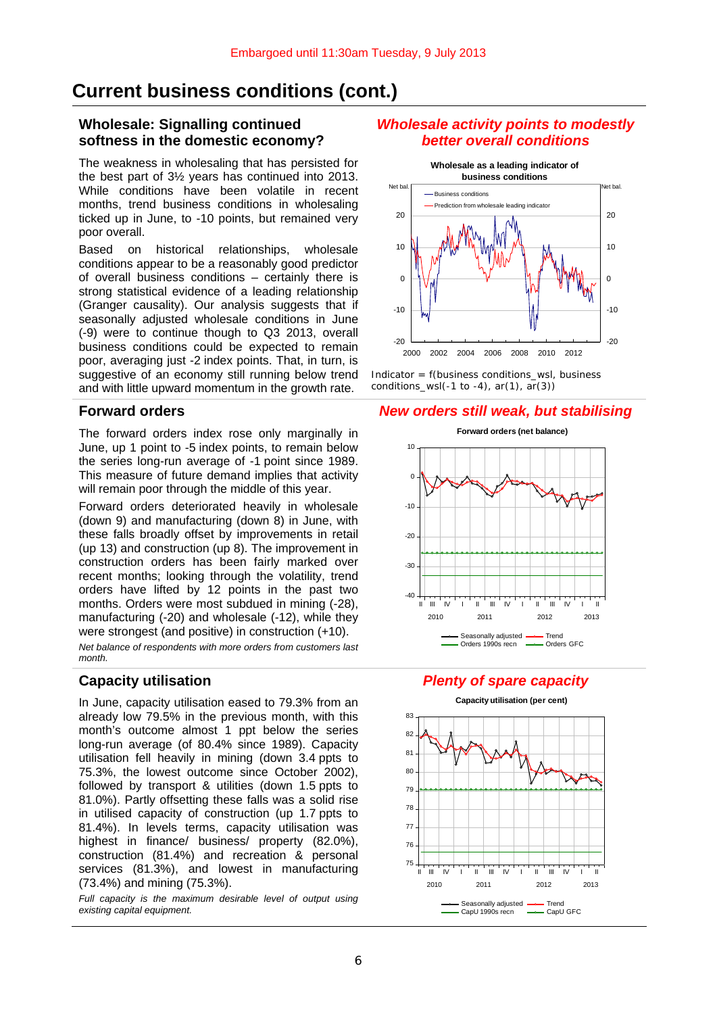## **Current business conditions (cont.)**

#### **Wholesale: Signalling continued softness in the domestic economy?**

The weakness in wholesaling that has persisted for the best part of 3½ years has continued into 2013. While conditions have been volatile in recent months, trend business conditions in wholesaling ticked up in June, to -10 points, but remained very poor overall.

Based on historical relationships, wholesale conditions appear to be a reasonably good predictor of overall business conditions – certainly there is strong statistical evidence of a leading relationship (Granger causality). Our analysis suggests that if seasonally adjusted wholesale conditions in June (-9) were to continue though to Q3 2013, overall business conditions could be expected to remain poor, averaging just -2 index points. That, in turn, is suggestive of an economy still running below trend and with little upward momentum in the growth rate.

The forward orders index rose only marginally in June, up 1 point to -5 index points, to remain below the series long-run average of -1 point since 1989. This measure of future demand implies that activity will remain poor through the middle of this year.

Forward orders deteriorated heavily in wholesale (down 9) and manufacturing (down 8) in June, with these falls broadly offset by improvements in retail (up 13) and construction (up 8). The improvement in construction orders has been fairly marked over recent months; looking through the volatility, trend orders have lifted by 12 points in the past two months. Orders were most subdued in mining (-28), manufacturing (-20) and wholesale (-12), while they were strongest (and positive) in construction (+10).

*Net balance of respondents with more orders from customers last month.*

In June, capacity utilisation eased to 79.3% from an already low 79.5% in the previous month, with this month's outcome almost 1 ppt below the series long-run average (of 80.4% since 1989). Capacity utilisation fell heavily in mining (down 3.4 ppts to 75.3%, the lowest outcome since October 2002), followed by transport & utilities (down 1.5 ppts to 81.0%). Partly offsetting these falls was a solid rise in utilised capacity of construction (up 1.7 ppts to 81.4%). In levels terms, capacity utilisation was highest in finance/ business/ property (82.0%), construction (81.4%) and recreation & personal services (81.3%), and lowest in manufacturing (73.4%) and mining (75.3%).

*Full capacity is the maximum desirable level of output using existing capital equipment.* 

#### *Wholesale activity points to modestly better overall conditions*



*Indicator = f(business conditions\_wsl, business conditions\_wsl(-1 to -4), ar(1), ar(3))* 

#### **Forward orders** *New orders still weak, but stabilising*



### **Capacity utilisation** *Plenty of spare capacity*

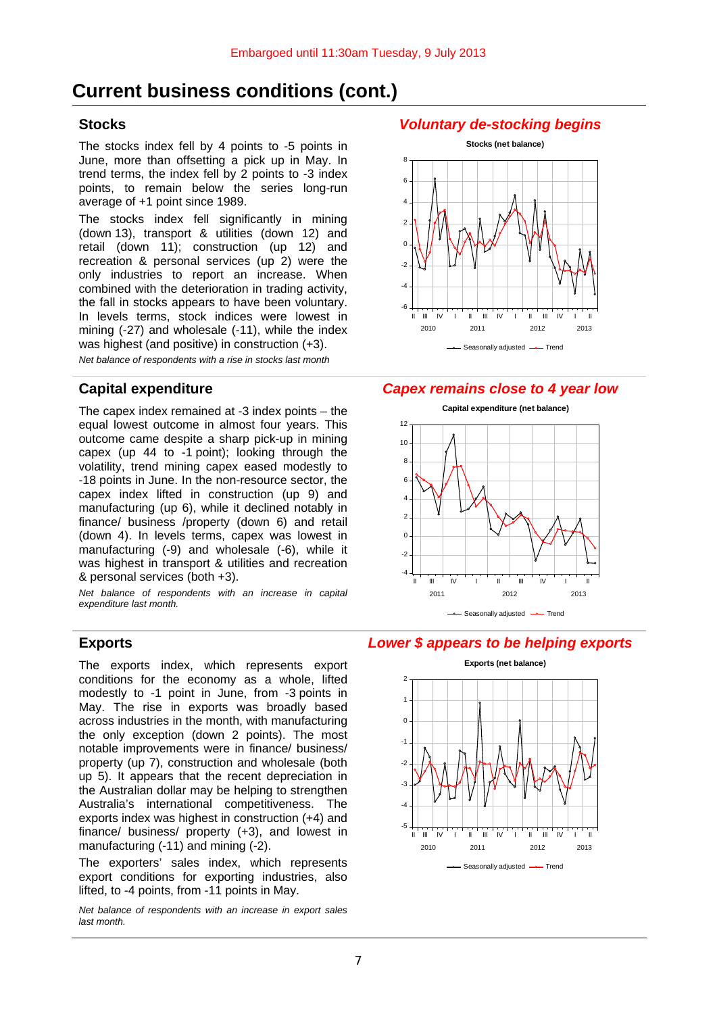# **Current business conditions (cont.)**

The stocks index fell by 4 points to -5 points in June, more than offsetting a pick up in May. In trend terms, the index fell by 2 points to -3 index points, to remain below the series long-run average of +1 point since 1989.

The stocks index fell significantly in mining (down 13), transport & utilities (down 12) and retail (down 11); construction (up 12) and recreation & personal services (up 2) were the only industries to report an increase. When combined with the deterioration in trading activity, the fall in stocks appears to have been voluntary. In levels terms, stock indices were lowest in mining (-27) and wholesale (-11), while the index was highest (and positive) in construction (+3).

*Net balance of respondents with a rise in stocks last month*

The capex index remained at  $-3$  index points  $-$  the equal lowest outcome in almost four years. This outcome came despite a sharp pick-up in mining capex (up 44 to -1 point); looking through the volatility, trend mining capex eased modestly to -18 points in June. In the non-resource sector, the capex index lifted in construction (up 9) and manufacturing (up 6), while it declined notably in finance/ business /property (down 6) and retail (down 4). In levels terms, capex was lowest in manufacturing (-9) and wholesale (-6), while it was highest in transport & utilities and recreation & personal services (both +3).

*Net balance of respondents with an increase in capital expenditure last month.*

The exports index, which represents export conditions for the economy as a whole, lifted modestly to -1 point in June, from -3 points in May. The rise in exports was broadly based across industries in the month, with manufacturing the only exception (down 2 points). The most notable improvements were in finance/ business/ property (up 7), construction and wholesale (both up 5). It appears that the recent depreciation in the Australian dollar may be helping to strengthen Australia's international competitiveness. The exports index was highest in construction (+4) and finance/ business/ property (+3), and lowest in manufacturing (-11) and mining (-2).

The exporters' sales index, which represents export conditions for exporting industries, also lifted, to -4 points, from -11 points in May.

*Net balance of respondents with an increase in export sales last month.*

### **Stocks** *Voluntary de-stocking begins*



### **Capital expenditure** *Capex remains close to 4 year low*



### **Exports** *Lower \$ appears to be helping exports*

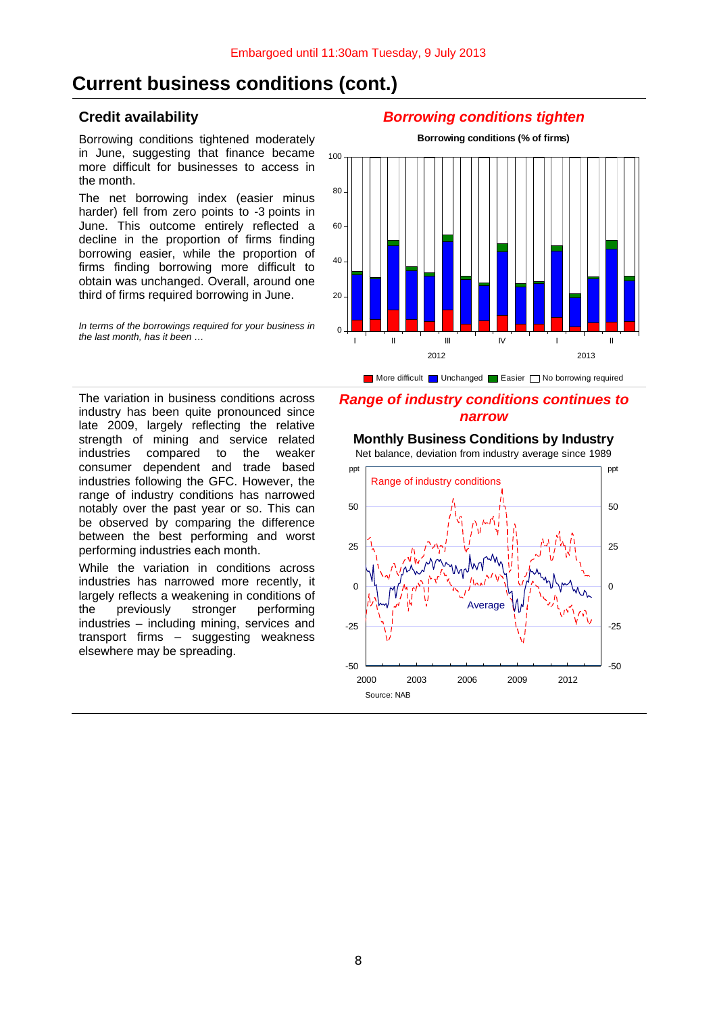## **Current business conditions (cont.)**

Borrowing conditions tightened moderately in June, suggesting that finance became more difficult for businesses to access in the month.

The net borrowing index (easier minus harder) fell from zero points to -3 points in June. This outcome entirely reflected a decline in the proportion of firms finding borrowing easier, while the proportion of firms finding borrowing more difficult to obtain was unchanged. Overall, around one third of firms required borrowing in June.

*In terms of the borrowings required for your business in the last month, has it been …*

### **Credit availability** *Borrowing conditions tighten*



More difficult  $\Box$  Unchanged  $\Box$  Easier  $\Box$  No borrowing required

### *Range of industry conditions continues to narrow*

The variation in business conditions across industry has been quite pronounced since late 2009, largely reflecting the relative strength of mining and service related<br>industries compared to the weaker compared to the weaker consumer dependent and trade based industries following the GFC. However, the range of industry conditions has narrowed notably over the past year or so. This can be observed by comparing the difference between the best performing and worst performing industries each month.

While the variation in conditions across industries has narrowed more recently, it largely reflects a weakening in conditions of the previously stronger performing industries – including mining, services and transport firms – suggesting weakness elsewhere may be spreading.

## **Monthly Business Conditions by Industry**



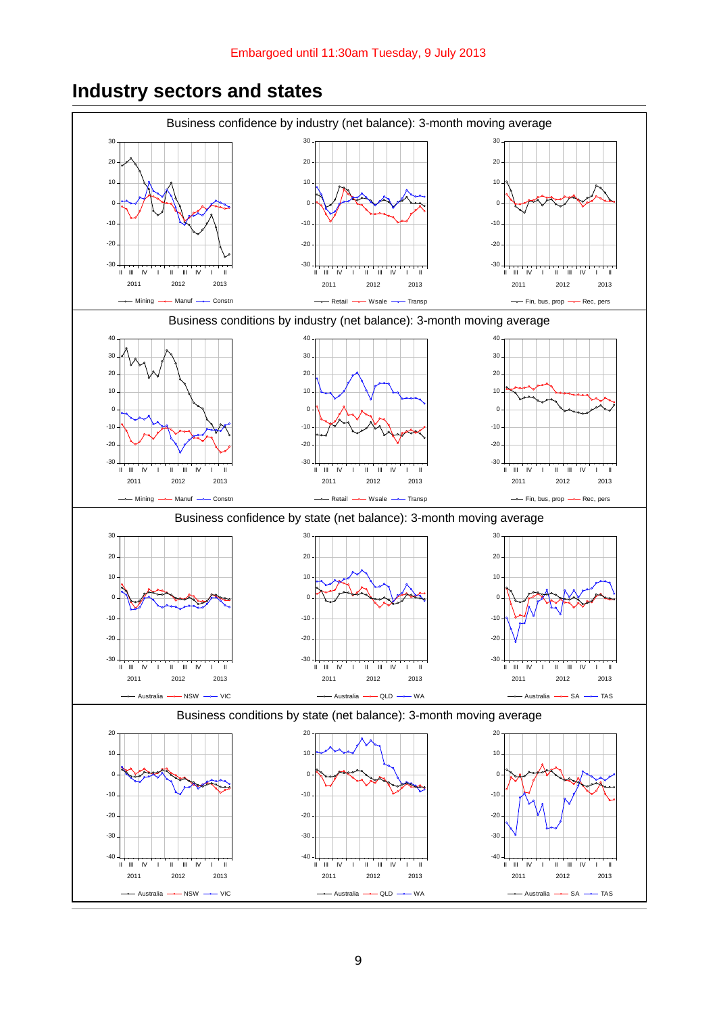#### Business confidence by industry (net balance): 3-month moving average -30  $-20$ -10  $\mathfrak{c}$  $10$ 20 30 II III IV I II III IV I II 2011 2012 2013 -- Mining -- Manuf -- Constn -30 -20 -10  $\overline{0}$ 10 20 30 II III IV I II III IV I II 2011 2012 2013 Retail —— Wsale —— Transp -30 -20 -10  $\overline{0}$ 10 20 30 II III IV I II III IV I II 2011 2012 2013 Fin, bus, prop -- Rec, pers Business conditions by industry (net balance): 3-month moving average -30  $-20$ -10  $\epsilon$ 10 20 30 40 II III IV I II III IV I II 2011 2012 2013 Mining - Manuf - Constn -30 -20 -10  $\Omega$ 10 20 30 40 II III IV I II III IV I II 2011 2012 2013 -- Retail -- Wsale -- Transp -30 -20 -10  $\Omega$ 10 20 30 40 II III IV I II III IV I II 2011 2012 2013 Fin, bus, prop -- Rec, pers Business confidence by state (net balance): 3-month moving average -30  $-20$  $-10$  $\overline{c}$ 10 20 30 II III IV I II III IV I II 2011 2012 2013  $-$ Australia  $-$  NSW  $-$  VIC -30 -20 -10  $\overline{0}$ 10 20 30 II III IV I II III IV I II 2011 2012 2013 - Australia -- QLD -- WA -30 -20 -10 0 10 20 30 II III IV I II III IV I II 2011 2012 2013 Australia -- SA -- TAS Business conditions by state (net balance): 3-month moving average -40  $-30$ -20 -10 0 10 20 II III IV I II III IV I II 2011 2012 2013  $-$  Australia  $-$  NSW  $-$  VIC -40 -30 -20 -10  $\overline{0}$ 10 20 II III IV I II III IV I II 2011 2012 2013 - Australia -- QLD -- WA -40 -30  $-20$ -10 0 10 20 II III IV I II III IV I II 2011 2012 2013  $-$  Australia  $-$  SA  $-$  TAS

# **Industry sectors and states**